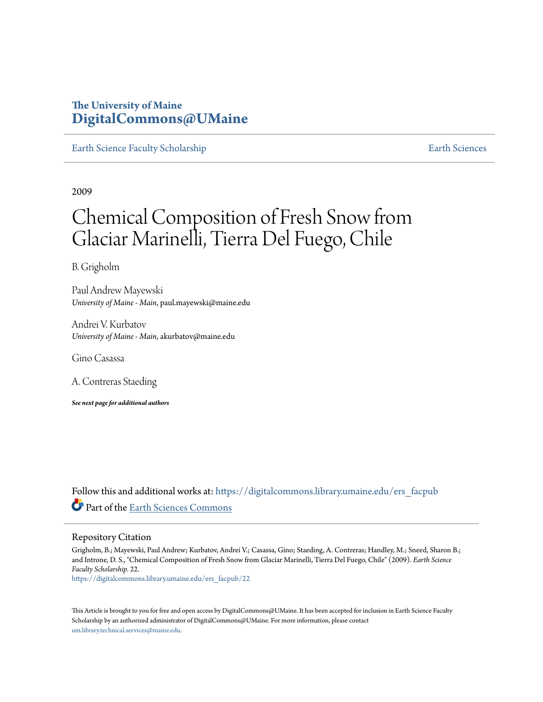## **The University of Maine [DigitalCommons@UMaine](https://digitalcommons.library.umaine.edu?utm_source=digitalcommons.library.umaine.edu%2Fers_facpub%2F22&utm_medium=PDF&utm_campaign=PDFCoverPages)**

[Earth Science Faculty Scholarship](https://digitalcommons.library.umaine.edu/ers_facpub?utm_source=digitalcommons.library.umaine.edu%2Fers_facpub%2F22&utm_medium=PDF&utm_campaign=PDFCoverPages) **[Earth Sciences](https://digitalcommons.library.umaine.edu/ers?utm_source=digitalcommons.library.umaine.edu%2Fers_facpub%2F22&utm_medium=PDF&utm_campaign=PDFCoverPages)** 

2009

# Chemical Composition of Fresh Snow from Glaciar Marinelli, Tierra Del Fuego, Chile

B. Grigholm

Paul Andrew Mayewski *University of Maine - Main*, paul.mayewski@maine.edu

Andrei V. Kurbatov *University of Maine - Main*, akurbatov@maine.edu

Gino Casassa

A. Contreras Staeding

*See next page for additional authors*

Follow this and additional works at: [https://digitalcommons.library.umaine.edu/ers\\_facpub](https://digitalcommons.library.umaine.edu/ers_facpub?utm_source=digitalcommons.library.umaine.edu%2Fers_facpub%2F22&utm_medium=PDF&utm_campaign=PDFCoverPages) Part of the [Earth Sciences Commons](http://network.bepress.com/hgg/discipline/153?utm_source=digitalcommons.library.umaine.edu%2Fers_facpub%2F22&utm_medium=PDF&utm_campaign=PDFCoverPages)

#### Repository Citation

Grigholm, B.; Mayewski, Paul Andrew; Kurbatov, Andrei V.; Casassa, Gino; Staeding, A. Contreras; Handley, M.; Sneed, Sharon B.; and Introne, D. S., "Chemical Composition of Fresh Snow from Glaciar Marinelli, Tierra Del Fuego, Chile" (2009). *Earth Science Faculty Scholarship*. 22.

[https://digitalcommons.library.umaine.edu/ers\\_facpub/22](https://digitalcommons.library.umaine.edu/ers_facpub/22?utm_source=digitalcommons.library.umaine.edu%2Fers_facpub%2F22&utm_medium=PDF&utm_campaign=PDFCoverPages)

This Article is brought to you for free and open access by DigitalCommons@UMaine. It has been accepted for inclusion in Earth Science Faculty Scholarship by an authorized administrator of DigitalCommons@UMaine. For more information, please contact [um.library.technical.services@maine.edu](mailto:um.library.technical.services@maine.edu).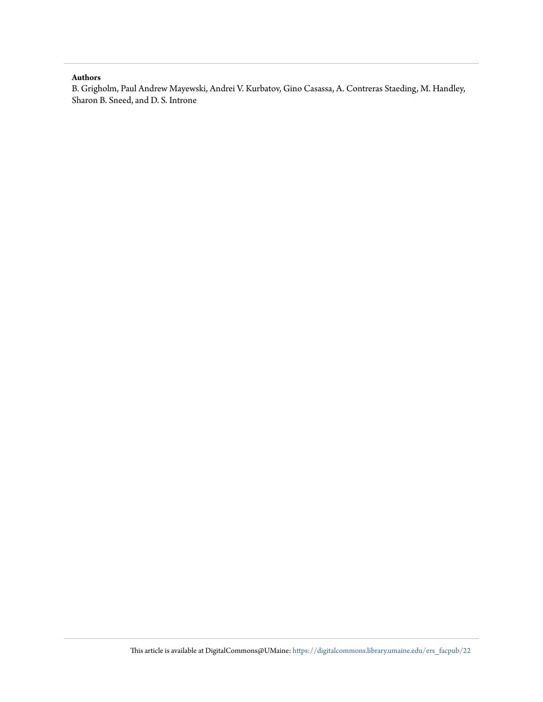#### **Authors**

B. Grigholm, Paul Andrew Mayewski, Andrei V. Kurbatov, Gino Casassa, A. Contreras Staeding, M. Handley, Sharon B. Sneed, and D. S. Introne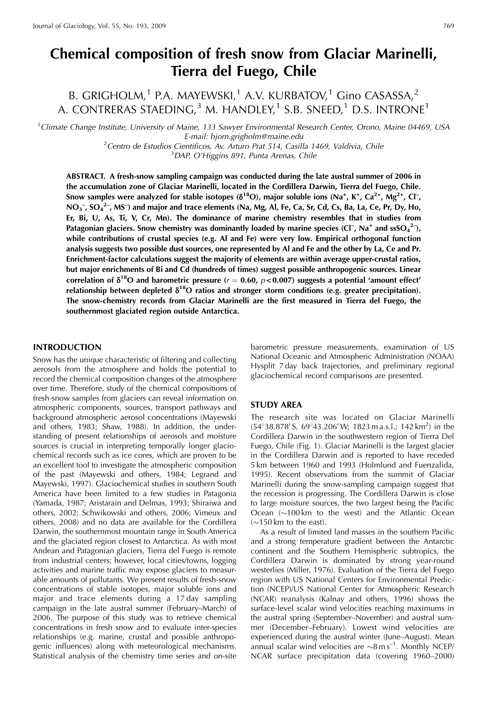## Chemical composition of fresh snow from Glaciar Marinelli, Tierra del Fuego, Chile

B. GRIGHOLM,<sup>1</sup> P.A. MAYEWSKI,<sup>1</sup> A.V. KURBATOV,<sup>1</sup> Gino CASASSA,<sup>2</sup> A. CONTRERAS STAEDING,<sup>3</sup> M. HANDLEY,<sup>1</sup> S.B. SNEED,<sup>1</sup> D.S. INTRONE<sup>1</sup>

<sup>1</sup>Climate Change Institute, University of Maine, 133 Sawyer Environmental Research Center, Orono, Maine 04469, USA E-mail: bjorn.grigholm@maine.edu

<sup>2</sup> Centro de Estudios Cientificos, Av. Arturo Prat 514, Casilla 1469, Valdivia, Chile

<sup>3</sup>DAP, O'Higgins 891, Punta Arenas, Chile

ABSTRACT. A fresh-snow sampling campaign was conducted during the late austral summer of 2006 in the accumulation zone of Glaciar Marinelli, located in the Cordillera Darwin, Tierra del Fuego, Chile. Snow samples were analyzed for stable isotopes ( $\delta^{18}O$ ), major soluble ions (Na<sup>+</sup>, K<sup>+</sup>, Ca<sup>2+</sup>, Mg<sup>2+</sup>, Cl<sup>-</sup>,  $NO<sub>3</sub>$ ,  $SO<sub>4</sub>$ <sup>2</sup>, MS<sup>-</sup>) and major and trace elements (Na, Mg, Al, Fe, Ca, Sr, Cd, Cs, Ba, La, Ce, Pr, Dy, Ho, Er, Bi, U, As, Ti, V, Cr, Mn). The dominance of marine chemistry resembles that in studies from Patagonian glaciers. Snow chemistry was dominantly loaded by marine species (Cl<sup>-</sup>, Na<sup>+</sup> and ssSO<sub>4</sub><sup>2-</sup>), while contributions of crustal species (e.g. Al and Fe) were very low. Empirical orthogonal function analysis suggests two possible dust sources, one represented by Al and Fe and the other by La, Ce and Pr. Enrichment-factor calculations suggest the majority of elements are within average upper-crustal ratios, but major enrichments of Bi and Cd (hundreds of times) suggest possible anthropogenic sources. Linear correlation of  $\delta^{18}O$  and barometric pressure ( $r = 0.60$ ,  $p < 0.007$ ) suggests a potential 'amount effect' relationship between depleted  $\delta^{18}O$  ratios and stronger storm conditions (e.g. greater precipitation). The snow-chemistry records from Glaciar Marinelli are the first measured in Tierra del Fuego, the southernmost glaciated region outside Antarctica.

#### **INTRODUCTION**

Snow has the unique characteristic of filtering and collecting aerosols from the atmosphere and holds the potential to record the chemical composition changes of the atmosphere over time. Therefore, study of the chemical compositions of fresh-snow samples from glaciers can reveal information on atmospheric components, sources, transport pathways and background atmospheric aerosol concentrations (Mayewski and others, 1983; Shaw, 1988). In addition, the understanding of present relationships of aerosols and moisture sources is crucial in interpreting temporally longer glaciochemical records such as ice cores, which are proven to be an excellent tool to investigate the atmospheric composition of the past (Mayewski and others, 1984; Legrand and Mayewski, 1997). Glaciochemical studies in southern South America have been limited to a few studies in Patagonia (Yamada, 1987; Aristarain and Delmas, 1993; Shiraiwa and others, 2002; Schwikowski and others, 2006; Vimeux and others, 2008) and no data are available for the Cordillera Darwin, the southernmost mountain range in South America and the glaciated region closest to Antarctica. As with most Andean and Patagonian glaciers, Tierra del Fuego is remote from industrial centers; however, local cities/towns, logging activities and marine traffic may expose glaciers to measurable amounts of pollutants. We present results of fresh-snow concentrations of stable isotopes, major soluble ions and major and trace elements during a 17 day sampling campaign in the late austral summer (February–March) of 2006. The purpose of this study was to retrieve chemical concentrations in fresh snow and to evaluate inter-species relationships (e.g. marine, crustal and possible anthropogenic influences) along with meteorological mechanisms. Statistical analysis of the chemistry time series and on-site

barometric pressure measurements, examination of US National Oceanic and Atmospheric Administration (NOAA) Hysplit 7 day back trajectories, and preliminary regional glaciochemical record comparisons are presented.

#### **STUDY AREA**

The research site was located on Glaciar Marinelli  $(54^{\circ}38.878'$  S,  $69^{\circ}43.206'$  W; 1823 m a.s.l.; 142 km<sup>2</sup>) in the Cordillera Darwin in the southwestern region of Tierra Del Fuego, Chile (Fig. 1). Glaciar Marinelli is the largest glacier in the Cordillera Darwin and is reported to have receded 5 km between 1960 and 1993 (Holmlund and Fuenzalida, 1995). Recent observations from the summit of Glaciar Marinelli during the snow-sampling campaign suggest that the recession is progressing. The Cordillera Darwin is close to large moisture sources, the two largest being the Pacific Ocean  $(\sim 100 \text{ km}$  to the west) and the Atlantic Ocean  $\sim$ 150 km to the east).

As a result of limited land masses in the southern Pacific and a strong temperature gradient between the Antarctic continent and the Southern Hemispheric subtropics, the Cordillera Darwin is dominated by strong year-round westerlies (Miller, 1976). Evaluation of the Tierra del Fuego region with US National Centers for Environmental Prediction (NCEP)/US National Center for Atmospheric Research (NCAR) reanalysis (Kalnay and others, 1996) shows the surface-level scalar wind velocities reaching maximums in the austral spring (September–November) and austral summer (December-February). Lowest wind velocities are experienced during the austral winter (June-August). Mean annual scalar wind velocities are  $\sim$ 8 m s<sup>-1</sup>. Monthly NCEP/ NCAR surface precipitation data (covering 1960-2000)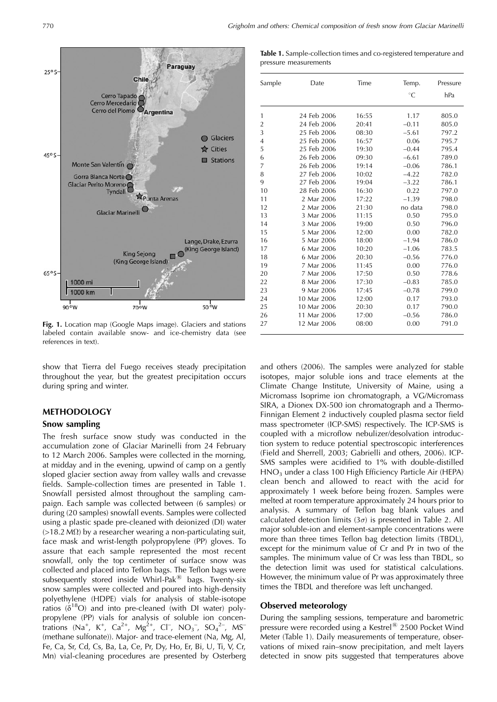

Fig. 1. Location map (Google Maps image). Glaciers and stations labeled contain available snow- and ice-chemistry data (see references in text).

show that Tierra del Fuego receives steady precipitation throughout the year, but the greatest precipitation occurs during spring and winter.

#### **METHODOLOGY Snow sampling**

The fresh surface snow study was conducted in the accumulation zone of Glaciar Marinelli from 24 February to 12 March 2006. Samples were collected in the morning, at midday and in the evening, upwind of camp on a gently sloped glacier section away from valley walls and crevasse fields. Sample-collection times are presented in Table 1. Snowfall persisted almost throughout the sampling campaign. Each sample was collected between (6 samples) or during (20 samples) snowfall events. Samples were collected using a plastic spade pre-cleaned with deionized (DI) water  $(>18.2 \text{ M}\Omega)$  by a researcher wearing a non-particulating suit, face mask and wrist-length polypropylene (PP) gloves. To assure that each sample represented the most recent snowfall, only the top centimeter of surface snow was collected and placed into Teflon bags. The Teflon bags were subsequently stored inside Whirl-Pak<sup>®</sup> bags. Twenty-six snow samples were collected and poured into high-density polyethylene (HDPE) vials for analysis of stable-isotope ratios ( $\delta^{18}O$ ) and into pre-cleaned (with DI water) polypropylene (PP) vials for analysis of soluble ion concentrations (Na<sup>+</sup>, K<sup>+</sup>, Ca<sup>2+</sup>, Mg<sup>2+</sup>, Cl<sup>-</sup>, NO<sub>3</sub><sup>-</sup>, SO<sub>4</sub><sup>2-</sup>, MS<sup>-</sup> (methane sulfonate)). Major- and trace-element (Na, Mg, Al, Fe, Ca, Sr, Cd, Cs, Ba, La, Ce, Pr, Dy, Ho, Er, Bi, U, Ti, V, Cr, Mn) vial-cleaning procedures are presented by Osterberg

| Table 1. Sample-collection times and co-registered temperature and |  |
|--------------------------------------------------------------------|--|
| pressure measurements                                              |  |

| Sample         | Date        | Time  | Temp.<br>$^{\circ}C$ | Pressure<br>hPa |
|----------------|-------------|-------|----------------------|-----------------|
| 1              | 24 Feb 2006 | 16:55 | 1.17                 | 805.0           |
| 2              | 24 Feb 2006 | 20:41 | $-0.11$              | 805.0           |
| 3              | 25 Feb 2006 | 08:30 | $-5.61$              | 797.2           |
| $\overline{4}$ | 25 Feb 2006 | 16:57 | 0.06                 | 795.7           |
| 5              | 25 Feb 2006 | 19:30 | $-0.44$              | 795.4           |
| 6              | 26 Feb 2006 | 09:30 | $-6.61$              | 789.0           |
| 7              | 26 Feb 2006 | 19:14 | $-0.06$              | 786.1           |
| 8              | 27 Feb 2006 | 10:02 | $-4.22$              | 782.0           |
| 9              | 27 Feb 2006 | 19:04 | $-3.22$              | 786.1           |
| 10             | 28 Feb 2006 | 16:30 | 0.22                 | 797.0           |
| 11             | 2 Mar 2006  | 17:22 | $-1.39$              | 798.0           |
| 12             | 2 Mar 2006  | 21:30 | no data              | 798.0           |
| 13             | 3 Mar 2006  | 11:15 | 0.50                 | 795.0           |
| 14             | 3 Mar 2006  | 19:00 | 0.50                 | 796.0           |
| 15             | 5 Mar 2006  | 12:00 | 0.00                 | 782.0           |
| 16             | 5 Mar 2006  | 18:00 | $-1.94$              | 786.0           |
| 17             | 6 Mar 2006  | 10:20 | $-1.06$              | 783.5           |
| 18             | 6 Mar 2006  | 20:30 | $-0.56$              | 776.0           |
| 19             | 7 Mar 2006  | 11:45 | 0.00                 | 776.0           |
| 20             | 7 Mar 2006  | 17:50 | 0.50                 | 778.6           |
| 22             | 8 Mar 2006  | 17:30 | $-0.83$              | 785.0           |
| 23             | 9 Mar 2006  | 17:45 | $-0.78$              | 799.0           |
| 24             | 10 Mar 2006 | 12:00 | 0.17                 | 793.0           |
| 25             | 10 Mar 2006 | 20:30 | 0.17                 | 790.0           |
| 26             | 11 Mar 2006 | 17:00 | $-0.56$              | 786.0           |
| 27             | 12 Mar 2006 | 08:00 | 0.00                 | 791.0           |

and others (2006). The samples were analyzed for stable isotopes, major soluble ions and trace elements at the Climate Change Institute, University of Maine, using a Micromass Isoprime ion chromatograph, a VG/Micromass SIRA, a Dionex DX-500 ion chromatograph and a Thermo-Finnigan Element 2 inductively coupled plasma sector field mass spectrometer (ICP-SMS) respectively. The ICP-SMS is coupled with a microflow nebulizer/desolvation introduction system to reduce potential spectroscopic interferences (Field and Sherrell, 2003; Gabrielli and others, 2006). ICP-SMS samples were acidified to 1% with double-distilled  $HNO<sub>3</sub>$  under a class 100 High Efficiency Particle Air (HEPA) clean bench and allowed to react with the acid for approximately 1 week before being frozen. Samples were melted at room temperature approximately 24 hours prior to analysis. A summary of Teflon bag blank values and calculated detection limits  $(3\sigma)$  is presented in Table 2. All major soluble-ion and element-sample concentrations were more than three times Teflon bag detection limits (TBDL), except for the minimum value of Cr and Pr in two of the samples. The minimum value of Cr was less than TBDL, so the detection limit was used for statistical calculations. However, the minimum value of Pr was approximately three times the TBDL and therefore was left unchanged.

#### **Observed meteorology**

During the sampling sessions, temperature and barometric pressure were recorded using a Kestrel<sup>®</sup> 2500 Pocket Wind Meter (Table 1). Daily measurements of temperature, observations of mixed rain-snow precipitation, and melt layers detected in snow pits suggested that temperatures above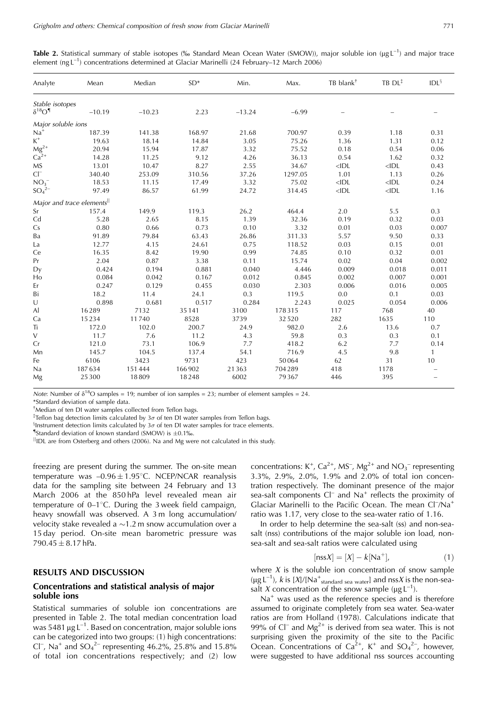| Analyte                              | Mean                                   | Median   | $SD*$  | Min.     | Max.    | TB blank <sup>†</sup> | TB DL <sup>‡</sup> | IDL <sup>§</sup> |
|--------------------------------------|----------------------------------------|----------|--------|----------|---------|-----------------------|--------------------|------------------|
| Stable isotopes                      |                                        |          |        |          |         |                       |                    |                  |
| $\delta^{18} \mathrm{O}^\P$          | $-10.19$                               | $-10.23$ | 2.23   | $-13.24$ | $-6.99$ |                       |                    |                  |
| Major soluble ions                   |                                        |          |        |          |         |                       |                    |                  |
| $Na^{+}$                             | 187.39                                 | 141.38   | 168.97 | 21.68    | 700.97  | 0.39                  | 1.18               | 0.31             |
| $K^+$                                | 19.63                                  | 18.14    | 14.84  | 3.05     | 75.26   | 1.36                  | 1.31               | 0.12             |
| Mg <sup>2+</sup><br>Ca <sup>2+</sup> | 20.94                                  | 15.94    | 17.87  | 3.32     | 75.52   | 0.18                  | 0.54               | 0.06             |
|                                      | 14.28                                  | 11.25    | 9.12   | 4.26     | 36.13   | 0.54                  | 1.62               | 0.32             |
| МS                                   | 13.01                                  | 10.47    | 8.27   | 2.55     | 34.67   | $<$ IDL               | $<$ IDL            | 0.43             |
| $Cl^{-}$                             | 340.40                                 | 253.09   | 310.56 | 37.26    | 1297.05 | 1.01                  | 1.13               | 0.26             |
| $NO_3^-$                             | 18.53                                  | 11.15    | 17.49  | 3.32     | 75.02   | $<$ IDL               | $<$ IDL            | 0.24             |
| $SO_4^{2-}$                          | 97.49                                  | 86.57    | 61.99  | 24.72    | 314.45  | $<$ IDL               | $<$ IDL            | 1.16             |
|                                      | Major and trace elements <sup>  </sup> |          |        |          |         |                       |                    |                  |
| Sr                                   | 157.4                                  | 149.9    | 119.3  | 26.2     | 464.4   | 2.0                   | 5.5                | 0.3              |
| Cd                                   | 5.28                                   | 2.65     | 8.15   | 1.39     | 32.36   | 0.19                  | 0.32               | 0.03             |
| Cs                                   | 0.80                                   | 0.66     | 0.73   | 0.10     | 3.32    | 0.01                  | 0.03               | 0.007            |
| Вa                                   | 91.89                                  | 79.84    | 63.43  | 26.86    | 311.33  | 5.57                  | 9.50               | 0.33             |
| La                                   | 12.77                                  | 4.15     | 24.61  | 0.75     | 118.52  | 0.03                  | 0.15               | 0.01             |
| Сe                                   | 16.35                                  | 8.42     | 19.90  | 0.99     | 74.85   | 0.10                  | 0.32               | 0.01             |
| Pr                                   | 2.04                                   | 0.87     | 3.38   | 0.11     | 15.74   | 0.02                  | 0.04               | 0.002            |
| Dy                                   | 0.424                                  | 0.194    | 0.881  | 0.040    | 4.446   | 0.009                 | 0.018              | 0.011            |
| Ho                                   | 0.084                                  | 0.042    | 0.167  | 0.012    | 0.845   | 0.002                 | 0.007              | 0.001            |
| Er                                   | 0.247                                  | 0.129    | 0.455  | 0.030    | 2.303   | 0.006                 | 0.016              | 0.005            |
| Bi                                   | 18.2                                   | 11.4     | 24.1   | 0.3      | 119.5   | 0.0                   | 0.1                | 0.03             |
| U                                    | 0.898                                  | 0.681    | 0.517  | 0.284    | 2.243   | 0.025                 | 0.054              | 0.006            |
| Al                                   | 16289                                  | 7132     | 35 141 | 3100     | 178315  | 117                   | 768                | 40               |
| Сa                                   | 15234                                  | 11740    | 8528   | 3739     | 32520   | 282                   | 1635               | 110              |
| Ti                                   | 172.0                                  | 102.0    | 200.7  | 24.9     | 982.0   | 2.6                   | 13.6               | 0.7              |
| V                                    | 11.7                                   | 7.6      | 11.2   | 4.3      | 59.8    | 0.3                   | 0.3                | 0.1              |
| Cr                                   | 121.0                                  | 73.1     | 106.9  | 7.7      | 418.2   | 6.2                   | 7.7                | 0.14             |
| Mn                                   | 145.7                                  | 104.5    | 137.4  | 54.1     | 716.9   | 4.5                   | 9.8                | $\mathbf{1}$     |
| Fe                                   | 6106                                   | 3423     | 9731   | 423      | 50064   | 62                    | 31                 | 10               |
| Na                                   | 187634                                 | 151444   | 166902 | 21363    | 704289  | 418                   | 1178               |                  |
| Mg                                   | 25300                                  | 18809    | 18248  | 6002     | 79367   | 446                   | 395                |                  |

Table 2. Statistical summary of stable isotopes (% Standard Mean Ocean Water (SMOW)), major soluble ion (µg L<sup>-1</sup>) and major trace element (ng  $L^{-1}$ ) concentrations determined at Glaciar Marinelli (24 February–12 March 2006)

*Note:* Number of  $\delta^{18}$ O samples = 19; number of ion samples = 23; number of element samples = 24.

\*Standard deviation of sample data.

<sup>†</sup>Median of ten DI water samples collected from Teflon bags.

<sup>‡</sup>Teflon bag detection limits calculated by  $3\sigma$  of ten DI water samples from Teflon bags.

<sup>§</sup>Instrument detection limits calculated by  $3\sigma$  of ten DI water samples for trace elements.

"Standard deviation of known standard (SMOW) is  $\pm 0.1\%$ .

<sup>II</sup>IDL are from Osterberg and others (2006). Na and Mg were not calculated in this study.

freezing are present during the summer. The on-site mean temperature was  $-0.96 \pm 1.95$ °C. NCEP/NCAR reanalysis data for the sampling site between 24 February and 13 March 2006 at the 850 hPa level revealed mean air temperature of  $0-1$ °C. During the 3 week field campaign, heavy snowfall was observed. A 3 m long accumulation/ velocity stake revealed a  $\sim$ 1.2 m snow accumulation over a 15 day period. On-site mean barometric pressure was 790.45  $\pm$  8.17 hPa.

#### **RESULTS AND DISCUSSION**

#### Concentrations and statistical analysis of major soluble ions

Statistical summaries of soluble ion concentrations are presented in Table 2. The total median concentration load was 5481  $\mu$ g L<sup>-1</sup>. Based on concentration, major soluble ions can be categorized into two groups: (1) high concentrations: Cl<sup>-</sup>, Na<sup>+</sup> and  $SO_4^2$ <sup>-</sup> representing 46.2%, 25.8% and 15.8% of total ion concentrations respectively; and (2) low

concentrations:  $K^+$ ,  $Ca^{2+}$ , MS<sup>-</sup>, Mg<sup>2+</sup> and NO<sub>3</sub><sup>-</sup> representing 3.3%, 2.9%, 2.0%, 1.9% and 2.0% of total ion concentration respectively. The dominant presence of the major sea-salt components Cl<sup>-</sup> and Na<sup>+</sup> reflects the proximity of Glaciar Marinelli to the Pacific Ocean. The mean Cl<sup>-</sup>/Na<sup>+</sup> ratio was 1.17, very close to the sea-water ratio of 1.16.

In order to help determine the sea-salt (ss) and non-seasalt (nss) contributions of the major soluble ion load, nonsea-salt and sea-salt ratios were calculated using

$$
[nssX] = [X] - k[Na^+],\tag{1}
$$

where  $X$  is the soluble ion concentration of snow sample ( $\mu$ g L<sup>-1</sup>), *k* is [*X*]/[Na<sup>+</sup><sub>standard sea water] and nss*X* is the non-sea-</sub> salt X concentration of the snow sample ( $\mu$ g L<sup>-1</sup>).

 $Na<sup>+</sup>$  was used as the reference species and is therefore assumed to originate completely from sea water. Sea-water ratios are from Holland (1978). Calculations indicate that 99% of Cl<sup>-</sup> and Mg<sup>2+</sup> is derived from sea water. This is not surprising given the proximity of the site to the Pacific<br>Ocean. Concentrations of Ca<sup>2+</sup>, K<sup>+</sup> and SO<sub>4</sub><sup>2-</sup>, however, were suggested to have additional nss sources accounting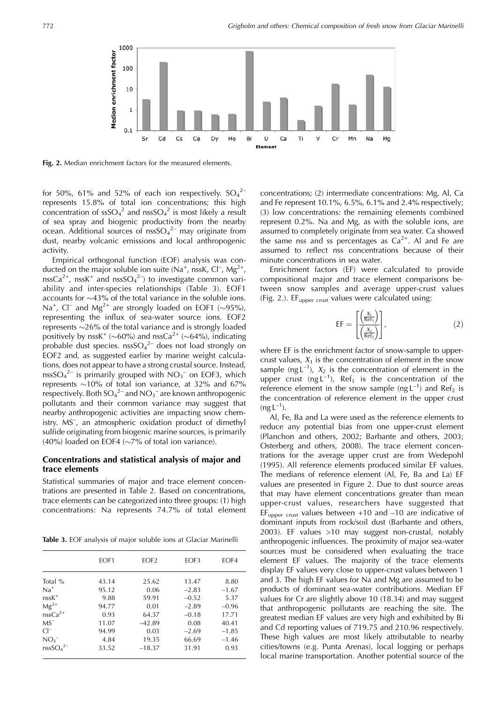

Fig. 2. Median enrichment factors for the measured elements.

for 50%, 61% and 52% of each ion respectively.  $SO_4^2$ represents 15.8% of total ion concentrations; this high concentration of  $\text{ssSO}_4{}^2$  and  $\text{nsSO}_4{}^2$  is most likely a result of sea spray and biogenic productivity from the nearby ocean. Additional sources of  $nssSO<sub>4</sub><sup>2-</sup>$  may originate from dust, nearby volcanic emissions and local anthropogenic activity.

Empirical orthogonal function (EOF) analysis was conducted on the major soluble ion suite (Na<sup>+</sup>, nssK, Cl<sup>-</sup>, Mg<sup>2+</sup>,  $nssCa<sup>2+</sup>$ , nssK<sup>+</sup> and nssSO<sub>4</sub><sup>2</sup><sup>-</sup>) to investigate common variability and inter-species relationships (Table 3). EOF1 accounts for  $\sim$ 43% of the total variance in the soluble ions. Na<sup>+</sup>, Cl<sup>-</sup> and Mg<sup>2+</sup> are strongly loaded on EOF1 ( $\sim$ 95%), representing the influx of sea-water source ions. EOF2 represents  $\sim$ 26% of the total variance and is strongly loaded positively by nssK<sup>+</sup> ( $\sim$ 60%) and nssCa<sup>2+</sup> ( $\sim$ 64%), indicating probable dust species.  $nssO<sub>4</sub><sup>2-</sup>$  does not load strongly on EOF2 and, as suggested earlier by marine weight calculations, does not appear to have a strong crustal source. Instead, nssSO<sub>4</sub><sup>2-</sup> is primarily grouped with  $NO<sub>3</sub><sup>-</sup>$  on EOF3, which represents  $\sim$ 10% of total ion variance, at 32% and 67% respectively. Both  $SO_4^2$  and  $NO_3^-$  are known anthropogenic pollutants and their common variance may suggest that nearby anthropogenic activities are impacting snow chemistry. MS<sup>-</sup>, an atmospheric oxidation product of dimethyl sulfide originating from biogenic marine sources, is primarily (40%) loaded on EOF4 ( $\sim$ 7% of total ion variance).

#### Concentrations and statistical analysis of major and trace elements

Statistical summaries of major and trace element concentrations are presented in Table 2. Based on concentrations, trace elements can be categorized into three groups: (1) high concentrations: Na represents 74.7% of total element

Table 3. EOF analysis of major soluble ions at Glaciar Marinelli

|                                  | EOF1  | EOF <sub>2</sub> | EOF3    | EOF4    |
|----------------------------------|-------|------------------|---------|---------|
| Total %                          | 43.14 | 25.62            | 13.47   | 8.80    |
| $Na+$                            | 95.12 | 0.06             | $-2.83$ | $-1.67$ |
| $nssK^+$                         | 9.88  | 59.91            | $-0.52$ | 5.37    |
| $Mg^{2+}$                        | 94.77 | 0.01             | $-2.89$ | $-0.96$ |
| $nssCa2+$                        | 0.93  | 64.37            | $-0.18$ | 17.71   |
| $MS^-$                           | 11.07 | $-42.89$         | 0.08    | 40.41   |
| $Cl^-$                           | 94.99 | 0.03             | $-2.69$ | $-1.85$ |
| $NO_3^-$                         | 4.84  | 19.35            | 66.69   | $-1.46$ |
| nssSO <sub>4</sub> <sup>2–</sup> | 33.52 | $-18.37$         | 31.91   | 0.93    |

concentrations; (2) intermediate concentrations: Mg, Al, Ca and Fe represent 10.1%,  $6.5\%$ ,  $6.1\%$  and 2.4% respectively; (3) low concentrations: the remaining elements combined represent 0.2%. Na and Mg, as with the soluble ions, are assumed to completely originate from sea water. Ca showed the same nss and ss percentages as  $Ca^{2+}$ . Al and Fe are assumed to reflect nss concentrations because of their minute concentrations in sea water.

Enrichment factors (EF) were calculated to provide compositional major and trace element comparisons between snow samples and average upper-crust values (Fig. 2.). EF<sub>upper crust</sub> values were calculated using:

$$
EF = \left[\frac{\left(\frac{X_1}{Ref_1}\right)}{\left(\frac{X_2}{Ref_2}\right)}\right],
$$
\n(2)

where EF is the enrichment factor of snow-sample to uppercrust values,  $X_1$  is the concentration of element in the snow sample (ng  $L^{-1}$ ),  $X_2$  is the concentration of element in the upper crust (ng  $L^{-1}$ ), Ref<sub>1</sub> is the concentration of the reference element in the snow sample (ng  $L^{-1}$ ) and Ref<sub>2</sub> is the concentration of reference element in the upper crust  $(ng L^{-1}).$ 

Al, Fe, Ba and La were used as the reference elements to reduce any potential bias from one upper-crust element (Planchon and others, 2002; Barbante and others, 2003; Osterberg and others, 2008). The trace element concentrations for the average upper crust are from Wedepohl (1995). All reference elements produced similar EF values. The medians of reference element (Al, Fe, Ba and La) EF values are presented in Figure 2. Due to dust source areas that may have element concentrations greater than mean upper-crust values, researchers have suggested that  $EF_{upper\ crust}$  values between +10 and -10 are indicative of dominant inputs from rock/soil dust (Barbante and others, 2003). EF values >10 may suggest non-crustal, notably anthropogenic influences. The proximity of major sea-water sources must be considered when evaluating the trace element EF values. The majority of the trace elements display EF values very close to upper-crust values between 1 and 3. The high EF values for Na and Mg are assumed to be products of dominant sea-water contributions. Median EF values for Cr are slightly above 10 (18.34) and may suggest that anthropogenic pollutants are reaching the site. The greatest median EF values are very high and exhibited by Bi and Cd reporting values of 719.75 and 210.96 respectively. These high values are most likely attributable to nearby cities/towns (e.g. Punta Arenas), local logging or perhaps local marine transportation. Another potential source of the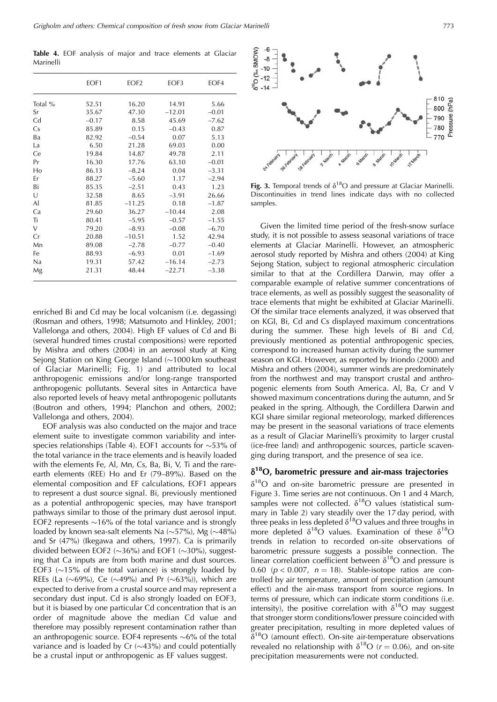Grigholm and others: Chemical composition of fresh snow from Glaciar Marinelli

Table 4. EOF analysis of major and trace elements at Glaciar Marinelli

|         | EOF1    | EOF <sub>2</sub> | EOF3     | EOF4    |
|---------|---------|------------------|----------|---------|
| Total % | 52.51   | 16.20            | 14.91    | 5.66    |
| Sr      | 35.67   | 47.30            | $-12.01$ | $-0.01$ |
| Cd      | $-0.17$ | 8.58             | 45.69    | $-7.62$ |
| Cs      | 85.89   | 0.15             | $-0.43$  | 0.87    |
| Ba      | 82.92   | $-0.54$          | 0.07     | 5.13    |
| La      | 6.50    | 21.28            | 69.03    | 0.00    |
| Ce      | 19.84   | 14.87            | 49.78    | 2.11    |
| Pr      | 16.30   | 17.76            | 63.10    | $-0.01$ |
| Ho      | 86.13   | $-8.24$          | 0.04     | $-3.31$ |
| Er      | 88.27   | $-5.60$          | 1.17     | $-2.94$ |
| Bi      | 85.35   | $-2.51$          | 0.43     | 1.23    |
| U       | 32.58   | 8.65             | $-3.91$  | 26.66   |
| Al      | 81.85   | $-11.25$         | 0.18     | $-1.87$ |
| Ca      | 29.60   | 36.27            | $-10.44$ | 2.08    |
| Ti      | 80.41   | $-5.95$          | $-0.57$  | $-1.55$ |
| $\vee$  | 79.20   | $-8.93$          | $-0.08$  | $-6.70$ |
| Cr      | 20.88   | $-10.51$         | 1.52     | 42.94   |
| Mn      | 89.08   | $-2.78$          | $-0.77$  | $-0.40$ |
| Fe      | 88.93   | $-6.93$          | 0.01     | $-1.69$ |
| Na      | 19.31   | 57.42            | $-16.14$ | $-2.73$ |
| Mg      | 21.31   | 48.44            | $-22.71$ | $-3.38$ |

enriched Bi and Cd may be local volcanism (i.e. degassing) (Rosman and others, 1998; Matsumoto and Hinkley, 2001; Vallelonga and others, 2004). High EF values of Cd and Bi (several hundred times crustal compositions) were reported by Mishra and others (2004) in an aerosol study at King Sejong Station on King George Island  $(\sim 1000 \text{ km}$  southeast of Glaciar Marinelli; Fig. 1) and attributed to local anthropogenic emissions and/or long-range transported anthropogenic pollutants. Several sites in Antarctica have also reported levels of heavy metal anthropogenic pollutants (Boutron and others, 1994; Planchon and others, 2002; Vallelonga and others, 2004).

EOF analysis was also conducted on the major and trace element suite to investigate common variability and interspecies relationships (Table 4). EOF1 accounts for  $\sim$ 53% of the total variance in the trace elements and is heavily loaded with the elements Fe, Al, Mn, Cs, Ba, Bi, V, Ti and the rareearth elements (REE) Ho and Er (79-89%). Based on the elemental composition and EF calculations, EOF1 appears to represent a dust source signal. Bi, previously mentioned as a potential anthropogenic species, may have transport pathways similar to those of the primary dust aerosol input. EOF2 represents  $\sim$ 16% of the total variance and is strongly loaded by known sea-salt elements Na  $(\sim 57\%)$ , Mg  $(\sim 48\%)$ and Sr (47%) (Ikegawa and others, 1997). Ca is primarily divided between EOF2 ( $\sim$ 36%) and EOF1 ( $\sim$ 30%), suggesting that Ca inputs are from both marine and dust sources. EOF3  $(~15\%$  of the total variance) is strongly loaded by REEs (La (~69%), Ce (~49%) and Pr (~63%)), which are expected to derive from a crustal source and may represent a secondary dust input. Cd is also strongly loaded on EOF3, but it is biased by one particular Cd concentration that is an order of magnitude above the median Cd value and therefore may possibly represent contamination rather than an anthropogenic source. EOF4 represents  $\sim6\%$  of the total variance and is loaded by Cr  $(\sim 43\%)$  and could potentially be a crustal input or anthropogenic as EF values suggest.



Fig. 3. Temporal trends of  $\delta^{18}O$  and pressure at Glaciar Marinelli. Discontinuities in trend lines indicate days with no collected samples.

Given the limited time period of the fresh-snow surface study, it is not possible to assess seasonal variations of trace elements at Glaciar Marinelli. However, an atmospheric aerosol study reported by Mishra and others (2004) at King Sejong Station, subject to regional atmospheric circulation similar to that at the Cordillera Darwin, may offer a comparable example of relative summer concentrations of trace elements, as well as possibly suggest the seasonality of trace elements that might be exhibited at Glaciar Marinelli. Of the similar trace elements analyzed, it was observed that on KGI, Bi, Cd and Cs displayed maximum concentrations during the summer. These high levels of Bi and Cd, previously mentioned as potential anthropogenic species, correspond to increased human activity during the summer season on KGI. However, as reported by Iriondo (2000) and Mishra and others (2004), summer winds are predominately from the northwest and may transport crustal and anthropogenic elements from South America. Al, Ba, Cr and V showed maximum concentrations during the autumn, and Sr peaked in the spring. Although, the Cordillera Darwin and KGI share similar regional meteorology, marked differences may be present in the seasonal variations of trace elements as a result of Glaciar Marinelli's proximity to larger crustal (ice-free land) and anthropogenic sources, particle scavenging during transport, and the presence of sea ice.

### $\delta^{18}$ O, barometric pressure and air-mass trajectories

 $\delta^{18}O$  and on-site barometric pressure are presented in Figure 3. Time series are not continuous. On 1 and 4 March, samples were not collected.  $\delta^{18}O$  values (statistical summary in Table 2) vary steadily over the 17 day period, with three peaks in less depleted  $\delta^{18}$ O values and three troughs in more depleted  $\delta^{18}O$  values. Examination of these  $\delta^{18}O$ trends in relation to recorded on-site observations of barometric pressure suggests a possible connection. The linear correlation coefficient between  $\delta^{18}O$  and pressure is 0.60 ( $p < 0.007$ ,  $n = 18$ ). Stable-isotope ratios are controlled by air temperature, amount of precipitation (amount effect) and the air-mass transport from source regions. In terms of pressure, which can indicate storm conditions (i.e. intensity), the positive correlation with  $\delta^{18}O$  may suggest that stronger storm conditions/lower pressure coincided with greater precipitation, resulting in more depleted values of  $\delta^{18}O$  (amount effect). On-site air-temperature observations revealed no relationship with  $\delta^{18}O$  ( $r = 0.06$ ), and on-site precipitation measurements were not conducted.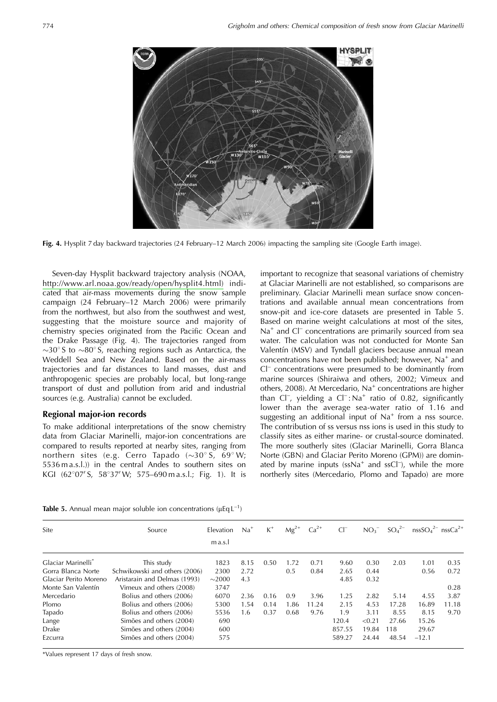

Fig. 4. Hysplit 7 day backward trajectories (24 February–12 March 2006) impacting the sampling site (Google Earth image).

Seven-day Hysplit backward trajectory analysis (NOAA, http://www.arl.noaa.gov/ready/open/hysplit4.html) indicated that air-mass movements during the snow sample campaign (24 February-12 March 2006) were primarily from the northwest, but also from the southwest and west, suggesting that the moisture source and majority of chemistry species originated from the Pacific Ocean and the Drake Passage (Fig. 4). The trajectories ranged from  $\sim$ 30° S to  $\sim$ 80° S, reaching regions such as Antarctica, the Weddell Sea and New Zealand. Based on the air-mass trajectories and far distances to land masses, dust and anthropogenic species are probably local, but long-range transport of dust and pollution from arid and industrial sources (e.g. Australia) cannot be excluded.

#### Regional major-ion records

To make additional interpretations of the snow chemistry data from Glaciar Marinelli, major-ion concentrations are compared to results reported at nearby sites, ranging from northern sites (e.g. Cerro Tapado  $(\sim 30^{\circ} S, 69^{\circ} W;$ 5536 m a.s.l.)) in the central Andes to southern sites on KGI (62°07' S, 58°37' W; 575–690 m a.s.l.; Fig. 1). It is important to recognize that seasonal variations of chemistry at Glaciar Marinelli are not established, so comparisons are preliminary. Glaciar Marinelli mean surface snow concentrations and available annual mean concentrations from snow-pit and ice-core datasets are presented in Table 5. Based on marine weight calculations at most of the sites,  $Na<sup>+</sup>$  and Cl<sup>-</sup> concentrations are primarily sourced from sea water. The calculation was not conducted for Monte San Valentín (MSV) and Tyndall glaciers because annual mean concentrations have not been published; however, Na<sup>+</sup> and  $Cl<sup>-</sup>$  concentrations were presumed to be dominantly from marine sources (Shiraiwa and others, 2002; Vimeux and others, 2008). At Mercedario, Na<sup>+</sup> concentrations are higher than  $CI^-$ , yielding a  $CI^-$ : Na<sup>+</sup> ratio of 0.82, significantly lower than the average sea-water ratio of 1.16 and suggesting an additional input of  $Na<sup>+</sup>$  from a nss source. The contribution of ss versus nss ions is used in this study to classify sites as either marine- or crustal-source dominated. The more southerly sites (Glaciar Marinelli, Gorra Blanca Norte (GBN) and Glaciar Perito Moreno (GPM)) are dominated by marine inputs (ssNa<sup>+</sup> and ssCl<sup>-</sup>), while the more northerly sites (Mercedario, Plomo and Tapado) are more

|  |  |  |  |  |  |  | <b>Table 5.</b> Annual mean major soluble ion concentrations ( $\mu$ Eq L <sup>-1</sup> ) |  |  |  |
|--|--|--|--|--|--|--|-------------------------------------------------------------------------------------------|--|--|--|
|--|--|--|--|--|--|--|-------------------------------------------------------------------------------------------|--|--|--|

| Site                           | Source                        | Elevation   | $Na+$ | $K^+$ | $Mg^{2+}$ | $Ca2+$ | $Cl^-$ | NO <sub>3</sub> | $SO_4^{2-}$ | $nssSO42– nssCa2+$ |       |
|--------------------------------|-------------------------------|-------------|-------|-------|-----------|--------|--------|-----------------|-------------|--------------------|-------|
|                                |                               | m a.s.      |       |       |           |        |        |                 |             |                    |       |
| Glaciar Marinelli <sup>*</sup> | This study                    | 1823        | 8.15  | 0.50  | 1.72      | 0.71   | 9.60   | 0.30            | 2.03        | 1.01               | 0.35  |
| Gorra Blanca Norte             | Schwikowski and others (2006) | 2300        | 2.72  |       | 0.5       | 0.84   | 2.65   | 0.44            |             | 0.56               | 0.72  |
| Glaciar Perito Moreno          | Aristarain and Delmas (1993)  | $\sim$ 2000 | 4.3   |       |           |        | 4.85   | 0.32            |             |                    |       |
| Monte San Valentín             | Vimeux and others (2008)      | 3747        |       |       |           |        |        |                 |             |                    | 0.28  |
| Mercedario                     | Bolius and others (2006)      | 6070        | 2.36  | 0.16  | 0.9       | 3.96   | 1.25   | 2.82            | 5.14        | 4.55               | 3.87  |
| Plomo                          | Bolius and others (2006)      | 5300        | 1.54  | 0.14  | 1.86      | 11.24  | 2.15   | 4.53            | 17.28       | 16.89              | 11.18 |
| Tapado                         | Bolius and others (2006)      | 5536        | 1.6   | 0.37  | 0.68      | 9.76   | 1.9    | 3.11            | 8.55        | 8.15               | 9.70  |
| Lange                          | Simões and others (2004)      | 690         |       |       |           |        | 120.4  | < 0.21          | 27.66       | 15.26              |       |
| <b>Drake</b>                   | Simões and others (2004)      | 600         |       |       |           |        | 857.55 | 19.84           | 118         | 29.67              |       |
| Ezcurra                        | Simões and others (2004)      | 575         |       |       |           |        | 589.27 | 24.44           | 48.54       | $-12.1$            |       |

\*Values represent 17 days of fresh snow.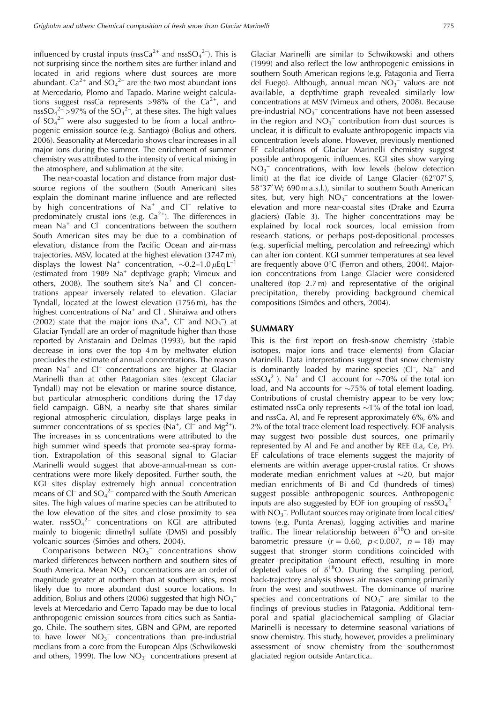influenced by crustal inputs (nssCa<sup>2+</sup> and nssSO<sub>4</sub><sup>2-</sup>). This is not surprising since the northern sites are further inland and located in arid regions where dust sources are more abundant.  $Ca^{2+}$  and  $SO_4^{2-}$  are the two most abundant ions at Mercedario, Plomo and Tapado. Marine weight calculations suggest nssCa represents >98% of the  $Ca^{2+}$ , and nssSO<sub>4</sub><sup>2-</sup>>97% of the SO<sub>4</sub><sup>2-</sup>, at these sites. The high values of  $SO_4^2$  were also suggested to be from a local anthropogenic emission source (e.g. Santiago) (Bolius and others, 2006). Seasonality at Mercedario shows clear increases in all major ions during the summer. The enrichment of summer chemistry was attributed to the intensity of vertical mixing in the atmosphere, and sublimation at the site.

The near-coastal location and distance from major dustsource regions of the southern (South American) sites explain the dominant marine influence and are reflected by high concentrations of  $Na^+$  and  $Cl^-$  relative to predominately crustal ions (e.g.  $Ca^{2+}$ ). The differences in mean Na<sup>+</sup> and Cl<sup>-</sup> concentrations between the southern South American sites may be due to a combination of elevation, distance from the Pacific Ocean and air-mass trajectories. MSV, located at the highest elevation (3747 m), displays the lowest Na<sup>+</sup> concentration,  $\sim 0.2-1.0 \,\mu\text{Eq L}^{-1}$ (estimated from 1989 Na<sup>+</sup> depth/age graph; Vimeux and others, 2008). The southern site's Na<sup>+</sup> and Cl<sup>-</sup> concentrations appear inversely related to elevation. Glaciar Tyndall, located at the lowest elevation (1756 m), has the highest concentrations of Na<sup>+</sup> and Cl<sup>-</sup>. Shiraiwa and others (2002) state that the major ions (Na<sup>+</sup>, Cl<sup>-</sup> and NO<sub>3</sub><sup>-</sup>) at Glaciar Tyndall are an order of magnitude higher than those reported by Aristarain and Delmas (1993), but the rapid decrease in ions over the top 4m by meltwater elution precludes the estimate of annual concentrations. The reason mean Na<sup>+</sup> and Cl<sup>-</sup> concentrations are higher at Glaciar Marinelli than at other Patagonian sites (except Glaciar Tyndall) may not be elevation or marine source distance, but particular atmospheric conditions during the 17 day field campaign. GBN, a nearby site that shares similar regional atmospheric circulation, displays large peaks in summer concentrations of ss species (Na<sup>+</sup>, Cl<sup>-</sup> and Mg<sup>2+</sup>). The increases in ss concentrations were attributed to the high summer wind speeds that promote sea-spray formation. Extrapolation of this seasonal signal to Glaciar Marinelli would suggest that above-annual-mean ss concentrations were more likely deposited. Further south, the KGI sites display extremely high annual concentration means of  $Cl^-$  and  $SO_4^2$  compared with the South American sites. The high values of marine species can be attributed to the low elevation of the sites and close proximity to sea water.  $nssSO_4^2$  concentrations on KGI are attributed mainly to biogenic dimethyl sulfate (DMS) and possibly volcanic sources (Simões and others, 2004).

Comparisons between  $NO<sub>3</sub><sup>-</sup>$  concentrations show marked differences between northern and southern sites of South America. Mean  $NO<sub>3</sub><sup>-</sup>$  concentrations are an order of magnitude greater at northern than at southern sites, most likely due to more abundant dust source locations. In addition, Bolius and others (2006) suggested that high  $NO<sub>3</sub>$ <sup>-</sup> levels at Mercedario and Cerro Tapado may be due to local anthropogenic emission sources from cities such as Santiago, Chile. The southern sites, GBN and GPM, are reported to have lower  $NO_3^-$  concentrations than pre-industrial medians from a core from the European Alps (Schwikowski and others, 1999). The low  $NO<sub>3</sub><sup>-</sup>$  concentrations present at

Glaciar Marinelli are similar to Schwikowski and others (1999) and also reflect the low anthropogenic emissions in southern South American regions (e.g. Patagonia and Tierra del Fuego). Although, annual mean  $NO<sub>3</sub><sup>-</sup>$  values are not available, a depth/time graph revealed similarly low concentrations at MSV (Vimeux and others, 2008). Because pre-industrial  $NO_3^-$  concentrations have not been assessed in the region and  $NO_3^-$  contribution from dust sources is unclear, it is difficult to evaluate anthropogenic impacts via concentration levels alone. However, previously mentioned EF calculations of Glaciar Marinelli chemistry suggest possible anthropogenic influences. KGI sites show varying  $NO<sub>3</sub><sup>-</sup>$  concentrations, with low levels (below detection limit) at the flat ice divide of Lange Glacier  $(62^{\circ}07'S,$ 58°37' W; 690 m a.s.l.), similar to southern South American sites, but, very high  $NO<sub>3</sub><sup>-</sup>$  concentrations at the lowerelevation and more near-coastal sites (Drake and Ezurra glaciers) (Table 3). The higher concentrations may be explained by local rock sources, local emission from research stations, or perhaps post-depositional processes (e.g. superficial melting, percolation and refreezing) which can alter ion content. KGI summer temperatures at sea level are frequently above  $0^{\circ}$ C (Ferron and others, 2004). Majorion concentrations from Lange Glacier were considered unaltered (top 2.7m) and representative of the original precipitation, thereby providing background chemical compositions (Simões and others, 2004).

#### **SUMMARY**

This is the first report on fresh-snow chemistry (stable isotopes, major ions and trace elements) from Glaciar Marinelli. Data interpretations suggest that snow chemistry is dominantly loaded by marine species (Cl<sup>-</sup>, Na<sup>+</sup> and ssSO<sub>4</sub><sup>2-</sup>). Na<sup>+</sup> and Cl<sup>-</sup> account for  $\sim$ 70% of the total ion load, and Na accounts for  $\sim$ 75% of total element loading. Contributions of crustal chemistry appear to be very low; estimated nssCa only represents  $\sim$ 1% of the total ion load, and nssCa, Al, and Fe represent approximately 6%, 6% and 2% of the total trace element load respectively. EOF analysis may suggest two possible dust sources, one primarily represented by Al and Fe and another by REE (La, Ce, Pr). EF calculations of trace elements suggest the majority of elements are within average upper-crustal ratios. Cr shows moderate median enrichment values at  $\sim$ 20, but major median enrichments of Bi and Cd (hundreds of times) suggest possible anthropogenic sources. Anthropogenic inputs are also suggested by EOF ion grouping of nss $SO_4^{2-}$ with  $NO<sub>3</sub><sup>-</sup>$ . Pollutant sources may originate from local cities/ towns (e.g. Punta Arenas), logging activities and marine traffic. The linear relationship between  $\delta^{18}O$  and on-site barometric pressure  $(r = 0.60, p < 0.007, n = 18)$  may suggest that stronger storm conditions coincided with greater precipitation (amount effect), resulting in more depleted values of  $\delta^{18}O$ . During the sampling period, back-trajectory analysis shows air masses coming primarily from the west and southwest. The dominance of marine species and concentrations of  $NO<sub>3</sub><sup>-</sup>$  are similar to the findings of previous studies in Patagonia. Additional temporal and spatial glaciochemical sampling of Glaciar Marinelli is necessary to determine seasonal variations of snow chemistry. This study, however, provides a preliminary assessment of snow chemistry from the southernmost glaciated region outside Antarctica.